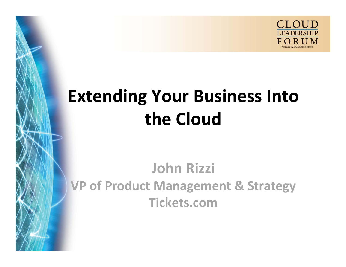

# **Extending Your Business Into the Cloud**

#### **John Rizzi VP of Product Management & Strategy Tickets.com**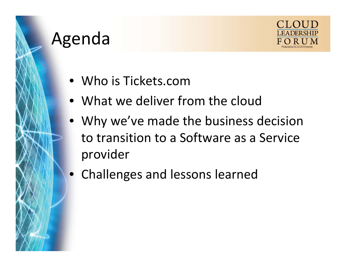## Agenda



- Who is Tickets.com
- What we deliver from the cloud
- Why we've made the business decision to transition to <sup>a</sup> Software as <sup>a</sup> Service provider
- Challenges and lessons learned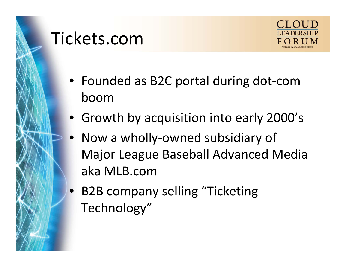

#### Tickets.com



- Founded as B2C portal during dot‐com boom
- Growth by acquisition into early 2000's
- Now <sup>a</sup> wholly‐owned subsidiary of Major League Baseball Advanced Media aka MLB.com
- • B2B company selling "Ticketing Technology"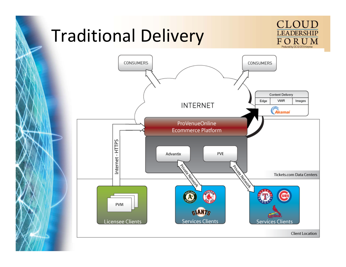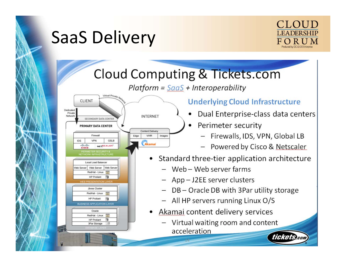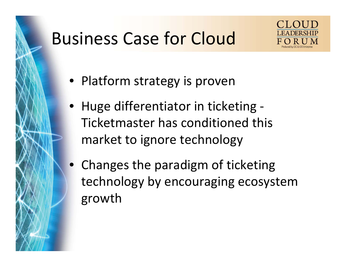#### Business Case for Cloud



- Platform strategy is proven
- Huge differentiator in ticketing ‐ Ticketmaster has conditioned this market to ignore technology
- Changes the paradigm of ticketing technology by encouraging ecosystem growth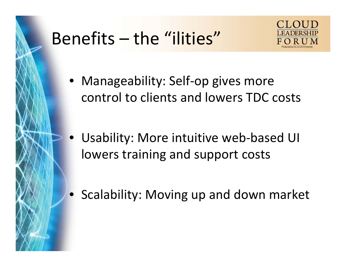## Benefits – the "ilities"



- Manageability: Self‐op gives more control to clients and lowers TDC costs
- • Usability: More intuitive web‐based UI lowers training and support costs
- Scalability: Moving up and down market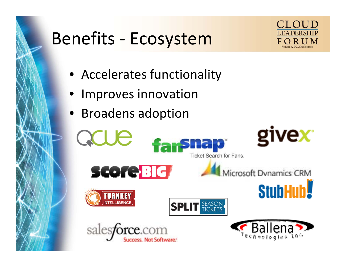#### Benefits ‐ Ecosystem



- Accelerates functionality
- Improves innovation
- Broadens adoption

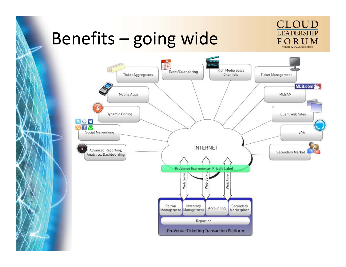#### Benefits – going wide



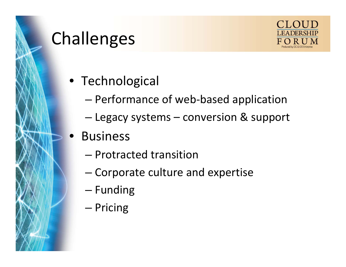

#### Challenges



- Technological
	- –Performance of web‐based application
	- – $-$  Legacy systems – conversion & support
- • Business
	- Protracted transition
	- –Corporate culture and expertise
	- –— Funding
	- –— Pricing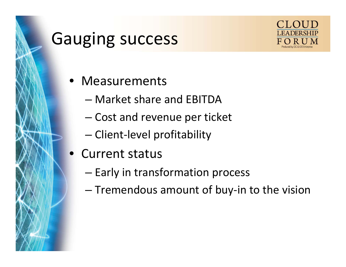#### Gauging success



#### • Measurements

- Market share and EBITDA
- –– Cost and revenue per ticket
- –— Client-level profitability
- Current status
	- – $-$  Early in transformation process
	- –— Tremendous amount of buy-in to the vision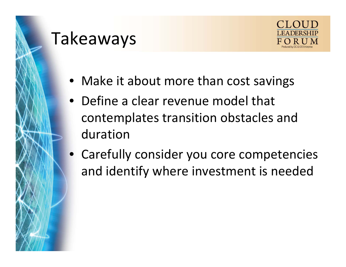## Takeaways



- Make it about more than cost savings
- Define <sup>a</sup> clear revenue model that contemplates transition obstacles and duration
- Carefully consider you core competencies and identify where investment is needed